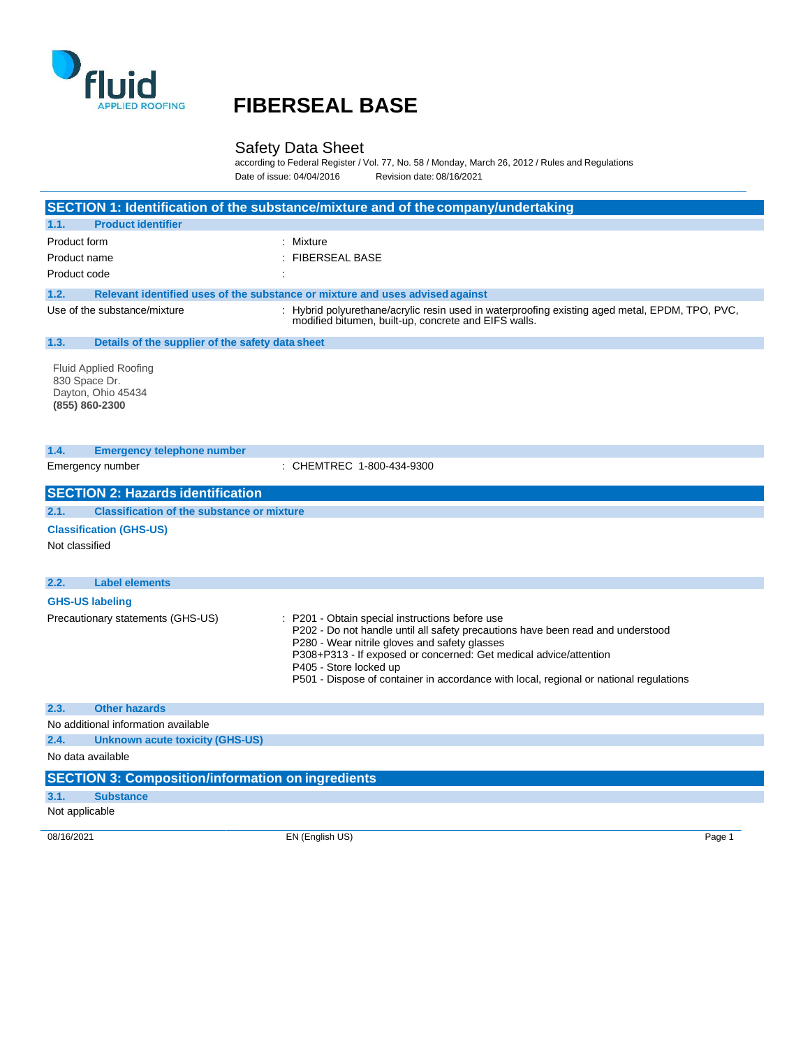

## **FIBERSEAL BASE**

### Safety Data Sheet

according to Federal Register / Vol. 77, No. 58 / Monday, March 26, 2012 / Rules and Regulations Date of issue: 04/04/2016 Revision date: 08/16/2021

|                                                                                       | SECTION 1: Identification of the substance/mixture and of the company/undertaking                                                                                                                                                                                                                                                                                          |  |
|---------------------------------------------------------------------------------------|----------------------------------------------------------------------------------------------------------------------------------------------------------------------------------------------------------------------------------------------------------------------------------------------------------------------------------------------------------------------------|--|
| <b>Product identifier</b><br>1.1.                                                     |                                                                                                                                                                                                                                                                                                                                                                            |  |
| Product form                                                                          | : Mixture                                                                                                                                                                                                                                                                                                                                                                  |  |
| Product name                                                                          | <b>FIBERSEAL BASE</b>                                                                                                                                                                                                                                                                                                                                                      |  |
| Product code                                                                          |                                                                                                                                                                                                                                                                                                                                                                            |  |
| 1.2.                                                                                  | Relevant identified uses of the substance or mixture and uses advised against                                                                                                                                                                                                                                                                                              |  |
| Use of the substance/mixture                                                          | : Hybrid polyurethane/acrylic resin used in waterproofing existing aged metal, EPDM, TPO, PVC,<br>modified bitumen, built-up, concrete and EIFS walls.                                                                                                                                                                                                                     |  |
| 1.3.<br>Details of the supplier of the safety data sheet                              |                                                                                                                                                                                                                                                                                                                                                                            |  |
| <b>Fluid Applied Roofing</b><br>830 Space Dr.<br>Dayton, Ohio 45434<br>(855) 860-2300 |                                                                                                                                                                                                                                                                                                                                                                            |  |
| 1.4.<br><b>Emergency telephone number</b>                                             |                                                                                                                                                                                                                                                                                                                                                                            |  |
| Emergency number                                                                      | : CHEMTREC 1-800-434-9300                                                                                                                                                                                                                                                                                                                                                  |  |
|                                                                                       |                                                                                                                                                                                                                                                                                                                                                                            |  |
| 2.2.<br><b>Label elements</b>                                                         |                                                                                                                                                                                                                                                                                                                                                                            |  |
| <b>GHS-US labeling</b><br>Precautionary statements (GHS-US)                           | P201 - Obtain special instructions before use<br>P202 - Do not handle until all safety precautions have been read and understood<br>P280 - Wear nitrile gloves and safety glasses<br>P308+P313 - If exposed or concerned: Get medical advice/attention<br>P405 - Store locked up<br>P501 - Dispose of container in accordance with local, regional or national regulations |  |
| 2.3.<br><b>Other hazards</b>                                                          |                                                                                                                                                                                                                                                                                                                                                                            |  |
| No additional information available                                                   |                                                                                                                                                                                                                                                                                                                                                                            |  |
| 2.4.<br><b>Unknown acute toxicity (GHS-US)</b>                                        |                                                                                                                                                                                                                                                                                                                                                                            |  |
| No data available                                                                     |                                                                                                                                                                                                                                                                                                                                                                            |  |
| <b>SECTION 3: Composition/information on ingredients</b>                              |                                                                                                                                                                                                                                                                                                                                                                            |  |
| 3.1.<br><b>Substance</b>                                                              |                                                                                                                                                                                                                                                                                                                                                                            |  |
|                                                                                       |                                                                                                                                                                                                                                                                                                                                                                            |  |
| Not applicable                                                                        |                                                                                                                                                                                                                                                                                                                                                                            |  |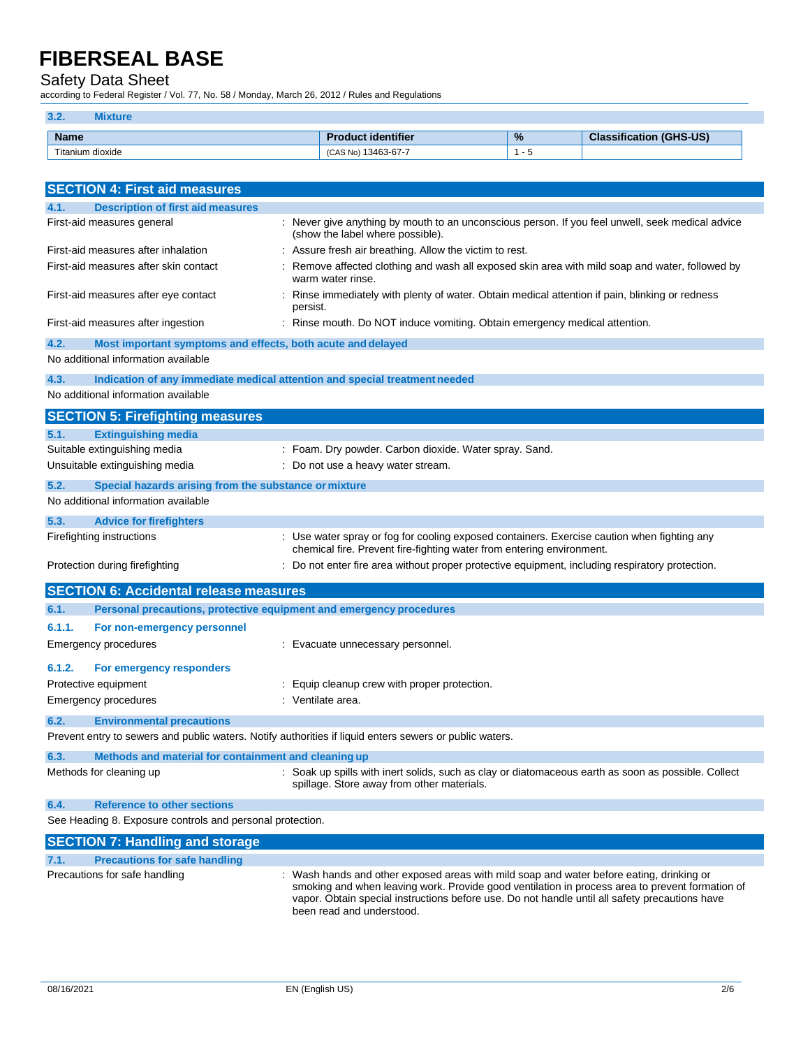### Safety Data Sheet

according to Federal Register / Vol. 77, No. 58 / Monday, March 26, 2012 / Rules and Regulations

| 3.2.             |                        |                  |                                    |
|------------------|------------------------|------------------|------------------------------------|
| <b>Name</b>      | duct identifier        | %                | $(GHS-US)$<br>Close:<br>sification |
| Titanium dioxide | 13463-67-7<br>(CAS No) | . . <del>.</del> |                                    |

| <b>SECTION 4: First aid measures</b>                                                                    |                                                                                                                                                                      |
|---------------------------------------------------------------------------------------------------------|----------------------------------------------------------------------------------------------------------------------------------------------------------------------|
| <b>Description of first aid measures</b><br>4.1.                                                        |                                                                                                                                                                      |
| First-aid measures general                                                                              | : Never give anything by mouth to an unconscious person. If you feel unwell, seek medical advice<br>(show the label where possible).                                 |
| First-aid measures after inhalation                                                                     | : Assure fresh air breathing. Allow the victim to rest.                                                                                                              |
| First-aid measures after skin contact                                                                   | Remove affected clothing and wash all exposed skin area with mild soap and water, followed by<br>warm water rinse.                                                   |
| First-aid measures after eye contact                                                                    | Rinse immediately with plenty of water. Obtain medical attention if pain, blinking or redness<br>persist.                                                            |
| First-aid measures after ingestion                                                                      | : Rinse mouth. Do NOT induce vomiting. Obtain emergency medical attention.                                                                                           |
| 4.2.<br>Most important symptoms and effects, both acute and delayed                                     |                                                                                                                                                                      |
| No additional information available                                                                     |                                                                                                                                                                      |
| 4.3.<br>Indication of any immediate medical attention and special treatment needed                      |                                                                                                                                                                      |
| No additional information available                                                                     |                                                                                                                                                                      |
| <b>SECTION 5: Firefighting measures</b>                                                                 |                                                                                                                                                                      |
| 5.1.<br><b>Extinguishing media</b>                                                                      |                                                                                                                                                                      |
| Suitable extinguishing media                                                                            | : Foam. Dry powder. Carbon dioxide. Water spray. Sand.                                                                                                               |
| Unsuitable extinguishing media                                                                          | : Do not use a heavy water stream.                                                                                                                                   |
| 5.2.<br>Special hazards arising from the substance or mixture                                           |                                                                                                                                                                      |
| No additional information available                                                                     |                                                                                                                                                                      |
| 5.3.<br><b>Advice for firefighters</b>                                                                  |                                                                                                                                                                      |
| Firefighting instructions                                                                               | : Use water spray or fog for cooling exposed containers. Exercise caution when fighting any<br>chemical fire. Prevent fire-fighting water from entering environment. |
| Protection during firefighting                                                                          | Do not enter fire area without proper protective equipment, including respiratory protection.                                                                        |
| <b>SECTION 6: Accidental release measures</b>                                                           |                                                                                                                                                                      |
| Personal precautions, protective equipment and emergency procedures<br>6.1.                             |                                                                                                                                                                      |
| 6.1.1.<br>For non-emergency personnel                                                                   |                                                                                                                                                                      |
| Emergency procedures                                                                                    | : Evacuate unnecessary personnel.                                                                                                                                    |
| 6.1.2.<br>For emergency responders                                                                      |                                                                                                                                                                      |
| Protective equipment                                                                                    | : Equip cleanup crew with proper protection.                                                                                                                         |
| Emergency procedures                                                                                    | : Ventilate area.                                                                                                                                                    |
| 6.2.<br><b>Environmental precautions</b>                                                                |                                                                                                                                                                      |
| Prevent entry to sewers and public waters. Notify authorities if liquid enters sewers or public waters. |                                                                                                                                                                      |
|                                                                                                         |                                                                                                                                                                      |
| 6.3.<br>Methods and material for containment and cleaning up<br>Methods for cleaning up                 | : Soak up spills with inert solids, such as clay or diatomaceous earth as soon as possible. Collect                                                                  |
|                                                                                                         | spillage. Store away from other materials.                                                                                                                           |
| 6.4.<br><b>Reference to other sections</b>                                                              |                                                                                                                                                                      |
| See Heading 8. Exposure controls and personal protection.                                               |                                                                                                                                                                      |
| <b>SECTION 7: Handling and storage</b>                                                                  |                                                                                                                                                                      |
| <b>Precautions for safe handling</b><br>7.1.                                                            |                                                                                                                                                                      |
| Precautions for safe handling                                                                           | : Wash hands and other exposed areas with mild soap and water before eating, drinking or                                                                             |

smoking and when leaving work. Provide good ventilation in process area to prevent formation of vapor. Obtain special instructions before use. Do not handle until all safety precautions have been read and understood.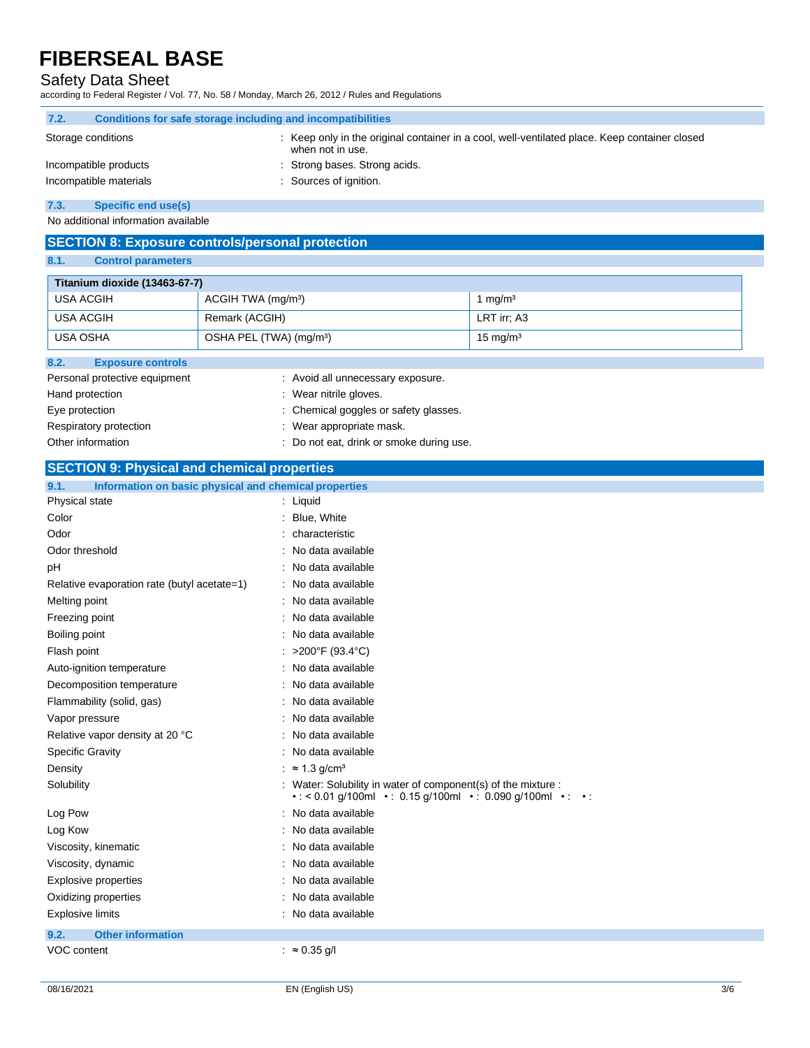## Safety Data Sheet

according to Federal Register / Vol. 77, No. 58 / Monday, March 26, 2012 / Rules and Regulations

| 7.2.                   | Conditions for safe storage including and incompatibilities |  |                                                                                                                   |
|------------------------|-------------------------------------------------------------|--|-------------------------------------------------------------------------------------------------------------------|
|                        | Storage conditions                                          |  | : Keep only in the original container in a cool, well-ventilated place. Keep container closed<br>when not in use. |
|                        | Incompatible products                                       |  | : Strong bases. Strong acids.                                                                                     |
| Incompatible materials |                                                             |  | : Sources of ignition.                                                                                            |
| $ -$                   | $\sim$ $\sim$ $\sim$ $\sim$ $\sim$ $\sim$                   |  |                                                                                                                   |

**7.3. Specific end use(s)**

No additional information available

## **SECTION 8: Exposure controls/personal protection**

**8.1. Control parameters**

|                                  | Titanium dioxide (13463-67-7)       |                     |  |  |
|----------------------------------|-------------------------------------|---------------------|--|--|
| USA ACGIH                        | ACGIH TWA (mg/m <sup>3</sup> )      | 1 $mq/m3$           |  |  |
| USA ACGIH                        | Remark (ACGIH)                      | LRT irr; A3         |  |  |
| USA OSHA                         | OSHA PEL (TWA) (mg/m <sup>3</sup> ) | $15 \text{ mg/m}^3$ |  |  |
| 8.2.<br><b>Exposure controls</b> |                                     |                     |  |  |
| Personal protective equipment    | : Avoid all unnecessary exposure.   |                     |  |  |

| <b>El Solial protective equipment</b> | . Avoiu all unifecessary exposure.    |
|---------------------------------------|---------------------------------------|
| Hand protection                       | : Wear nitrile gloves.                |
| Eye protection                        | : Chemical goggles or safety glasses. |
| Respiratory protection                | : Wear appropriate mask.              |

- 
- Other information **contain the container of the container**  $\blacksquare$  : Do not eat, drink or smoke during use.

### **SECTION 9: Physical and chemical properties**

| 9.1.<br>Information on basic physical and chemical properties |                                                                                                                                                              |  |  |
|---------------------------------------------------------------|--------------------------------------------------------------------------------------------------------------------------------------------------------------|--|--|
| Physical state                                                | : Liquid                                                                                                                                                     |  |  |
| Color                                                         | : Blue, White                                                                                                                                                |  |  |
| Odor                                                          | : characteristic                                                                                                                                             |  |  |
| Odor threshold                                                | : No data available                                                                                                                                          |  |  |
| pH                                                            | : No data available                                                                                                                                          |  |  |
| Relative evaporation rate (butyl acetate=1)                   | : No data available                                                                                                                                          |  |  |
| Melting point                                                 | : No data available                                                                                                                                          |  |  |
| Freezing point                                                | : No data available                                                                                                                                          |  |  |
| Boiling point                                                 | : No data available                                                                                                                                          |  |  |
| Flash point                                                   | : >200°F (93.4°C)                                                                                                                                            |  |  |
| Auto-ignition temperature                                     | : No data available                                                                                                                                          |  |  |
| Decomposition temperature                                     | : No data available                                                                                                                                          |  |  |
| Flammability (solid, gas)                                     | : No data available                                                                                                                                          |  |  |
| Vapor pressure                                                | : No data available                                                                                                                                          |  |  |
| Relative vapor density at 20 °C                               | No data available                                                                                                                                            |  |  |
| <b>Specific Gravity</b>                                       | : No data available                                                                                                                                          |  |  |
| Density                                                       | : $\approx 1.3$ g/cm <sup>3</sup>                                                                                                                            |  |  |
| Solubility                                                    | : Water: Solubility in water of component(s) of the mixture :<br>$\cdot$ : < 0.01 g/100ml $\cdot$ : 0.15 g/100ml $\cdot$ : 0.090 g/100ml $\cdot$ : $\cdot$ : |  |  |
| Log Pow                                                       | : No data available                                                                                                                                          |  |  |
| Log Kow                                                       | : No data available                                                                                                                                          |  |  |
| Viscosity, kinematic                                          | : No data available                                                                                                                                          |  |  |
| Viscosity, dynamic                                            | : No data available                                                                                                                                          |  |  |
| <b>Explosive properties</b>                                   | : No data available                                                                                                                                          |  |  |
| Oxidizing properties                                          | : No data available                                                                                                                                          |  |  |
| <b>Explosive limits</b>                                       | : No data available                                                                                                                                          |  |  |
| <b>Other information</b><br>9.2.                              |                                                                                                                                                              |  |  |
| VOC content                                                   | $: \approx 0.35$ g/l                                                                                                                                         |  |  |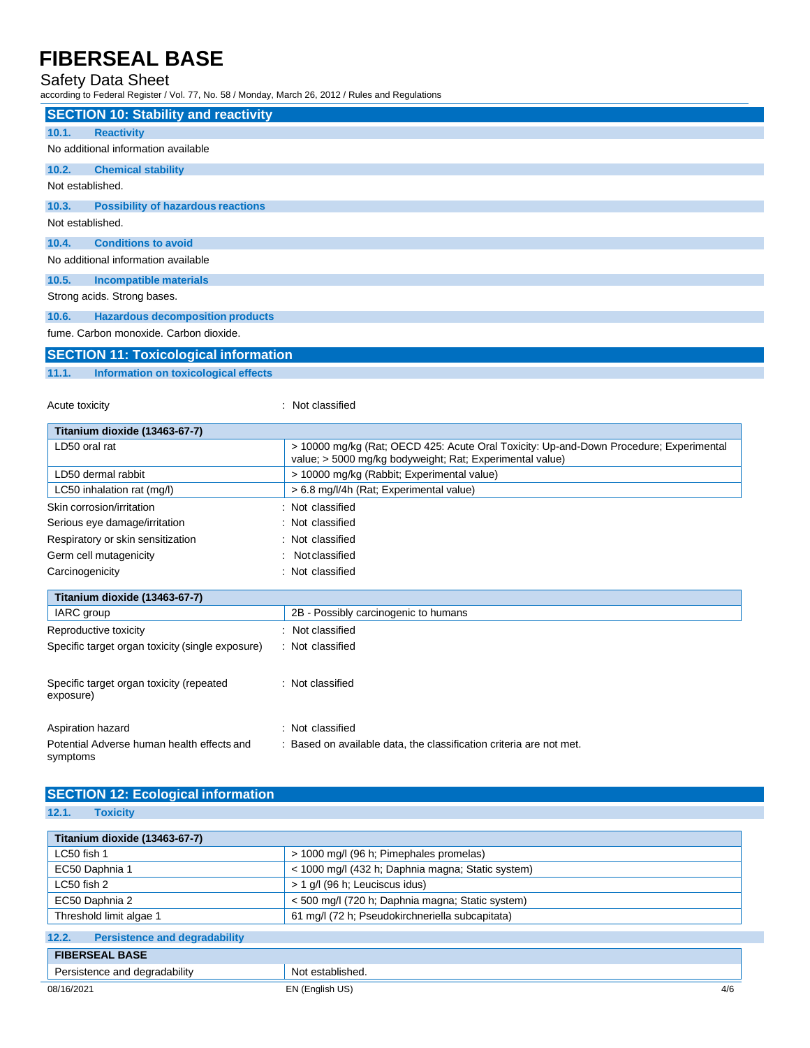### Safety Data Sheet

according to Federal Register / Vol. 77, No. 58 / Monday, March 26, 2012 / Rules and Regulations

|                                                                                                                                                                                                                               | <b>SECTION 10: Stability and reactivity</b> |  |  |
|-------------------------------------------------------------------------------------------------------------------------------------------------------------------------------------------------------------------------------|---------------------------------------------|--|--|
| 10.1.                                                                                                                                                                                                                         | <b>Reactivity</b>                           |  |  |
|                                                                                                                                                                                                                               | No additional information available         |  |  |
| 10.2.                                                                                                                                                                                                                         | <b>Chemical stability</b>                   |  |  |
| Not established.                                                                                                                                                                                                              |                                             |  |  |
| 10.3.                                                                                                                                                                                                                         | <b>Possibility of hazardous reactions</b>   |  |  |
| Not established.                                                                                                                                                                                                              |                                             |  |  |
| 10.4.                                                                                                                                                                                                                         | <b>Conditions to avoid</b>                  |  |  |
| No additional information available                                                                                                                                                                                           |                                             |  |  |
| 10.5.                                                                                                                                                                                                                         | Incompatible materials                      |  |  |
| Strong acids. Strong bases.                                                                                                                                                                                                   |                                             |  |  |
| 10.6.                                                                                                                                                                                                                         | <b>Hazardous decomposition products</b>     |  |  |
| the company of the company of the company of the company of the company of the company of the company of the company of the company of the company of the company of the company of the company of the company of the company | fume. Carbon monoxide. Carbon dioxide.      |  |  |

## **SECTION 11: Toxicological information**

**11.1. Information on toxicological effects**

Acute toxicity in the contract of the contract of the contract of the contract of the contract of the contract of the contract of the contract of the contract of the contract of the contract of the contract of the contract

| Titanium dioxide (13463-67-7)                    |                                                                                                                                                    |  |
|--------------------------------------------------|----------------------------------------------------------------------------------------------------------------------------------------------------|--|
| LD50 oral rat                                    | > 10000 mg/kg (Rat: OECD 425: Acute Oral Toxicity: Up-and-Down Procedure: Experimental<br>value; > 5000 mg/kg bodyweight; Rat; Experimental value) |  |
| LD50 dermal rabbit                               | > 10000 mg/kg (Rabbit; Experimental value)                                                                                                         |  |
| LC50 inhalation rat (mg/l)                       | > 6.8 mg/l/4h (Rat; Experimental value)                                                                                                            |  |
| Skin corrosion/irritation                        | : Not classified                                                                                                                                   |  |
| Serious eye damage/irritation                    | : Not classified                                                                                                                                   |  |
| Respiratory or skin sensitization                | : Not classified                                                                                                                                   |  |
| Germ cell mutagenicity                           | Not classified<br>÷                                                                                                                                |  |
| Carcinogenicity                                  | : Not classified                                                                                                                                   |  |
| Titanium dioxide (13463-67-7)                    |                                                                                                                                                    |  |
| IARC group                                       | 2B - Possibly carcinogenic to humans                                                                                                               |  |
| Reproductive toxicity                            | Not classified                                                                                                                                     |  |
| Specific target organ toxicity (single exposure) | : Not classified                                                                                                                                   |  |

| Specific target organ toxicity (repeated<br>exposure) | : Not classified |
|-------------------------------------------------------|------------------|
| Aspiration hazard                                     | : Not classified |

| .<br>symptoms |  | . |  |  |
|---------------|--|---|--|--|
|               |  |   |  |  |

## **SECTION 12: Ecological information**

Potential Adverse human health effects and

**12.1. Toxicity**

| Titanium dioxide (13463-67-7)                 |                                                   |
|-----------------------------------------------|---------------------------------------------------|
| LC50 fish 1                                   | > 1000 mg/l (96 h; Pimephales promelas)           |
| EC50 Daphnia 1                                | < 1000 mg/l (432 h; Daphnia magna; Static system) |
| LC50 fish 2                                   | > 1 g/l (96 h; Leuciscus idus)                    |
| EC50 Daphnia 2                                | < 500 mg/l (720 h; Daphnia magna; Static system)  |
| Threshold limit algae 1                       | 61 mg/l (72 h; Pseudokirchneriella subcapitata)   |
| 12.2.<br><b>Persistence and degradability</b> |                                                   |
| <b>FIBERSEAL BASE</b>                         |                                                   |
| Persistence and degradability                 | Not established.                                  |
| 08/16/2021                                    | EN (English US)<br>4/6                            |

: Based on available data, the classification criteria are not met.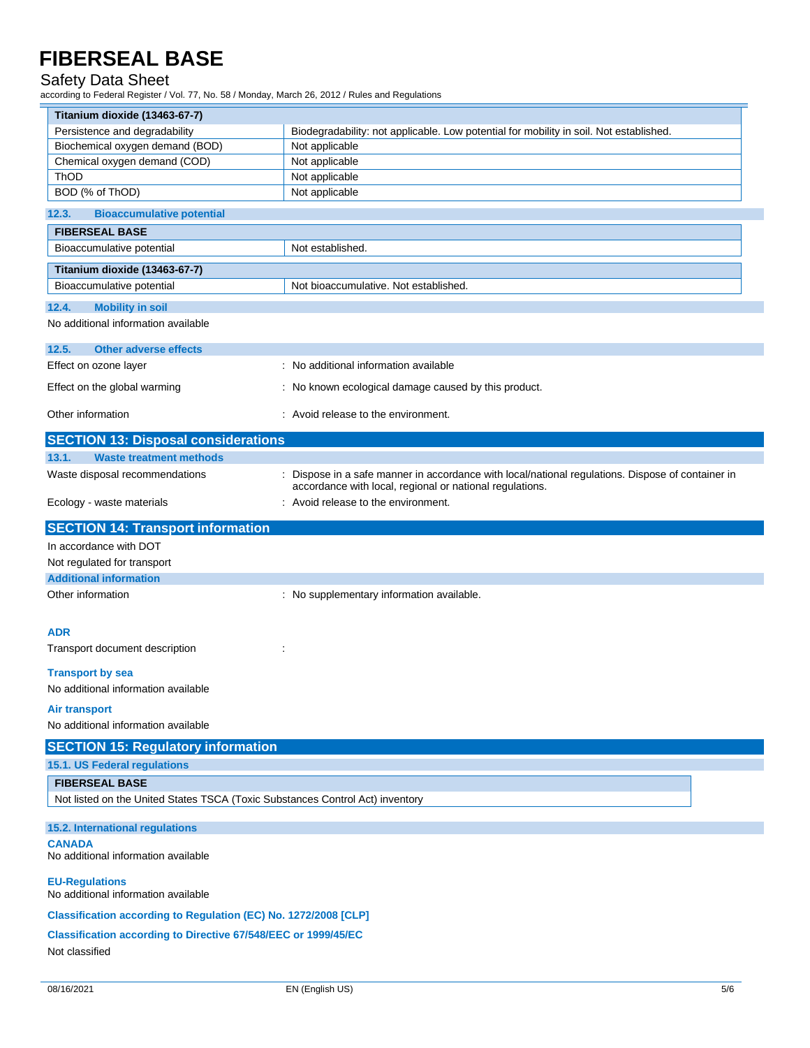### Safety Data Sheet

according to Federal Register / Vol. 77, No. 58 / Monday, March 26, 2012 / Rules and Regulations

| Titanium dioxide (13463-67-7)                                                 |                                                                                                 |  |  |  |  |
|-------------------------------------------------------------------------------|-------------------------------------------------------------------------------------------------|--|--|--|--|
| Persistence and degradability                                                 | Biodegradability: not applicable. Low potential for mobility in soil. Not established.          |  |  |  |  |
| Biochemical oxygen demand (BOD)                                               | Not applicable                                                                                  |  |  |  |  |
| Chemical oxygen demand (COD)                                                  | Not applicable                                                                                  |  |  |  |  |
| ThOD                                                                          | Not applicable                                                                                  |  |  |  |  |
| BOD (% of ThOD)                                                               | Not applicable                                                                                  |  |  |  |  |
| <b>Bioaccumulative potential</b><br>12.3.                                     |                                                                                                 |  |  |  |  |
| <b>FIBERSEAL BASE</b>                                                         |                                                                                                 |  |  |  |  |
| Bioaccumulative potential                                                     | Not established.                                                                                |  |  |  |  |
| Titanium dioxide (13463-67-7)                                                 |                                                                                                 |  |  |  |  |
| Bioaccumulative potential                                                     | Not bioaccumulative. Not established.                                                           |  |  |  |  |
| 12.4.<br><b>Mobility in soil</b>                                              |                                                                                                 |  |  |  |  |
| No additional information available                                           |                                                                                                 |  |  |  |  |
| <b>Other adverse effects</b><br>12.5.                                         |                                                                                                 |  |  |  |  |
| Effect on ozone layer                                                         | : No additional information available                                                           |  |  |  |  |
| Effect on the global warming                                                  | : No known ecological damage caused by this product.                                            |  |  |  |  |
| Other information                                                             | : Avoid release to the environment.                                                             |  |  |  |  |
| <b>SECTION 13: Disposal considerations</b>                                    |                                                                                                 |  |  |  |  |
| 13.1.<br><b>Waste treatment methods</b>                                       |                                                                                                 |  |  |  |  |
| Waste disposal recommendations                                                | Dispose in a safe manner in accordance with local/national regulations. Dispose of container in |  |  |  |  |
| Ecology - waste materials                                                     | accordance with local, regional or national regulations.<br>: Avoid release to the environment. |  |  |  |  |
| <b>SECTION 14: Transport information</b>                                      |                                                                                                 |  |  |  |  |
| In accordance with DOT                                                        |                                                                                                 |  |  |  |  |
| Not regulated for transport                                                   |                                                                                                 |  |  |  |  |
| <b>Additional information</b>                                                 |                                                                                                 |  |  |  |  |
| Other information                                                             | : No supplementary information available.                                                       |  |  |  |  |
|                                                                               |                                                                                                 |  |  |  |  |
| <b>ADR</b>                                                                    |                                                                                                 |  |  |  |  |
| Transport document description                                                |                                                                                                 |  |  |  |  |
| <b>Transport by sea</b>                                                       |                                                                                                 |  |  |  |  |
| No additional information available                                           |                                                                                                 |  |  |  |  |
| <b>Air transport</b>                                                          |                                                                                                 |  |  |  |  |
| No additional information available                                           |                                                                                                 |  |  |  |  |
| <b>SECTION 15: Regulatory information</b>                                     |                                                                                                 |  |  |  |  |
| 15.1. US Federal regulations                                                  |                                                                                                 |  |  |  |  |
| <b>FIBERSEAL BASE</b>                                                         |                                                                                                 |  |  |  |  |
| Not listed on the United States TSCA (Toxic Substances Control Act) inventory |                                                                                                 |  |  |  |  |
| 15.2. International regulations                                               |                                                                                                 |  |  |  |  |
| <b>CANADA</b>                                                                 |                                                                                                 |  |  |  |  |
| No additional information available                                           |                                                                                                 |  |  |  |  |
| <b>EU-Regulations</b><br>No additional information available                  |                                                                                                 |  |  |  |  |
| Classification according to Regulation (EC) No. 1272/2008 [CLP]               |                                                                                                 |  |  |  |  |
| <b>Classification according to Directive 67/548/EEC or 1999/45/EC</b>         |                                                                                                 |  |  |  |  |
| Not classified                                                                |                                                                                                 |  |  |  |  |
|                                                                               |                                                                                                 |  |  |  |  |